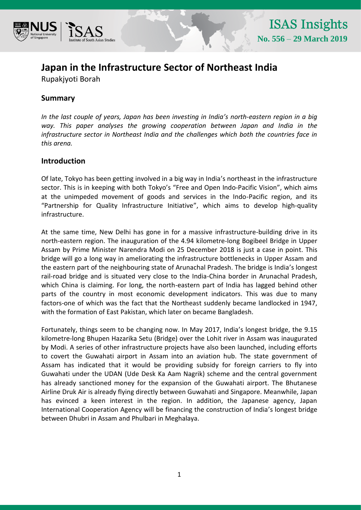

# **Japan in the Infrastructure Sector of Northeast India**

Rupakjyoti Borah

## **Summary**

*In the last couple of years, Japan has been investing in India's north-eastern region in a big way. This paper analyses the growing cooperation between Japan and India in the infrastructure sector in Northeast India and the challenges which both the countries face in this arena.*

### **Introduction**

Of late, Tokyo has been getting involved in a big way in India's northeast in the infrastructure sector. This is in keeping with both Tokyo's "Free and Open Indo-Pacific Vision", which aims at the unimpeded movement of goods and services in the Indo-Pacific region, and its "Partnership for Quality Infrastructure Initiative", which aims to develop high-quality infrastructure.

At the same time, New Delhi has gone in for a massive infrastructure-building drive in its north-eastern region. The inauguration of the 4.94 kilometre-long Bogibeel Bridge in Upper Assam by Prime Minister Narendra Modi on 25 December 2018 is just a case in point. This bridge will go a long way in ameliorating the infrastructure bottlenecks in Upper Assam and the eastern part of the neighbouring state of Arunachal Pradesh. The bridge is India's longest rail-road bridge and is situated very close to the India-China border in Arunachal Pradesh, which China is claiming. For long, the north-eastern part of India has lagged behind other parts of the country in most economic development indicators. This was due to many factors-one of which was the fact that the Northeast suddenly became landlocked in 1947, with the formation of East Pakistan, which later on became Bangladesh.

Fortunately, things seem to be changing now. In May 2017, India's longest bridge, the 9.15 kilometre-long Bhupen Hazarika Setu (Bridge) over the Lohit river in Assam was inaugurated by Modi. A series of other infrastructure projects have also been launched, including efforts to covert the Guwahati airport in Assam into an aviation hub. The state government of Assam has indicated that it would be providing subsidy for foreign carriers to fly into Guwahati under the UDAN (Ude Desk Ka Aam Nagrik) scheme and the central government has already sanctioned money for the expansion of the Guwahati airport. The Bhutanese Airline Druk Air is already flying directly between Guwahati and Singapore. Meanwhile, Japan has evinced a keen interest in the region. In addition, the Japanese agency, Japan International Cooperation Agency will be financing the construction of India's longest bridge between Dhubri in Assam and Phulbari in Meghalaya.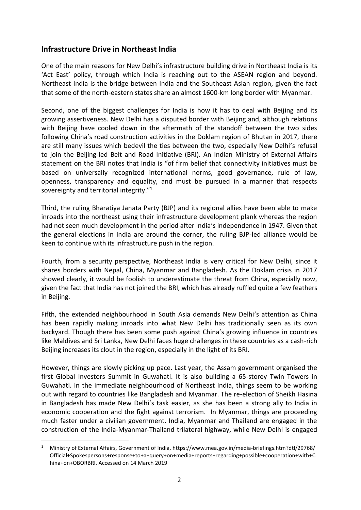### **Infrastructure Drive in Northeast India**

One of the main reasons for New Delhi's infrastructure building drive in Northeast India is its 'Act East' policy, through which India is reaching out to the ASEAN region and beyond. Northeast India is the bridge between India and the Southeast Asian region, given the fact that some of the north-eastern states share an almost 1600-km long border with Myanmar.

Second, one of the biggest challenges for India is how it has to deal with Beijing and its growing assertiveness. New Delhi has a disputed border with Beijing and, although relations with Beijing have cooled down in the aftermath of the standoff between the two sides following China's road construction activities in the Doklam region of Bhutan in 2017, there are still many issues which bedevil the ties between the two, especially New Delhi's refusal to join the Beijing-led Belt and Road Initiative (BRI). An Indian Ministry of External Affairs statement on the BRI notes that India is "of firm belief that connectivity initiatives must be based on universally recognized international norms, good governance, rule of law, openness, transparency and equality, and must be pursued in a manner that respects sovereignty and territorial integrity."<sup>1</sup>

Third, the ruling Bharatiya Janata Party (BJP) and its regional allies have been able to make inroads into the northeast using their infrastructure development plank whereas the region had not seen much development in the period after India's independence in 1947. Given that the general elections in India are around the corner, the ruling BJP-led alliance would be keen to continue with its infrastructure push in the region.

Fourth, from a security perspective, Northeast India is very critical for New Delhi, since it shares borders with Nepal, China, Myanmar and Bangladesh. As the Doklam crisis in 2017 showed clearly, it would be foolish to underestimate the threat from China, especially now, given the fact that India has not joined the BRI, which has already ruffled quite a few feathers in Beijing.

Fifth, the extended neighbourhood in South Asia demands New Delhi's attention as China has been rapidly making inroads into what New Delhi has traditionally seen as its own backyard. Though there has been some push against China's growing influence in countries like Maldives and Sri Lanka, New Delhi faces huge challenges in these countries as a cash-rich Beijing increases its clout in the region, especially in the light of its BRI.

However, things are slowly picking up pace. Last year, the Assam government organised the first Global Investors Summit in Guwahati. It is also building a 65-storey Twin Towers in Guwahati. In the immediate neighbourhood of Northeast India, things seem to be working out with regard to countries like Bangladesh and Myanmar. The re-election of Sheikh Hasina in Bangladesh has made New Delhi's task easier, as she has been a strong ally to India in economic cooperation and the fight against terrorism. In Myanmar, things are proceeding much faster under a civilian government. India, Myanmar and Thailand are engaged in the construction of the India-Myanmar-Thailand trilateral highway, while New Delhi is engaged

 $\overline{\phantom{a}}$ 

<sup>1</sup> Ministry of External Affairs, Government of India[, https://www.mea.gov.in/media-briefings.htm?dtl/29768/](https://www.mea.gov.in/media-briefings.htm?dtl/29768/%20Official+Spokespersons+response+to+a+query+on+media+reports+regarding+possible+cooperation+with+China+on+OBORBRI)  [Official+Spokespersons+response+to+a+query+on+media+reports+regarding+possible+cooperation+with+C](https://www.mea.gov.in/media-briefings.htm?dtl/29768/%20Official+Spokespersons+response+to+a+query+on+media+reports+regarding+possible+cooperation+with+China+on+OBORBRI) [hina+on+OBORBRI.](https://www.mea.gov.in/media-briefings.htm?dtl/29768/%20Official+Spokespersons+response+to+a+query+on+media+reports+regarding+possible+cooperation+with+China+on+OBORBRI) Accessed on 14 March 2019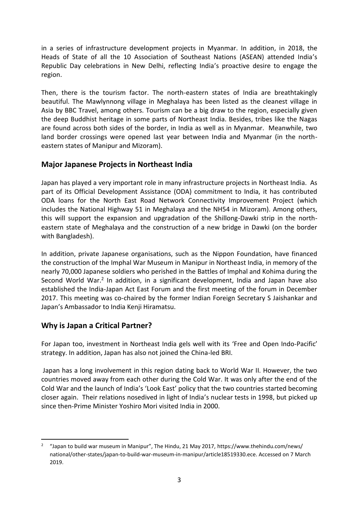in a series of infrastructure development projects in Myanmar. In addition, in 2018, the Heads of State of all the 10 Association of Southeast Nations (ASEAN) attended India's Republic Day celebrations in New Delhi, reflecting India's proactive desire to engage the region.

Then, there is the tourism factor. The north-eastern states of India are breathtakingly beautiful. The Mawlynnong village in Meghalaya has been listed as the cleanest village in Asia by BBC Travel, among others. Tourism can be a big draw to the region, especially given the deep Buddhist heritage in some parts of Northeast India. Besides, tribes like the Nagas are found across both sides of the border, in India as well as in Myanmar. Meanwhile, [two](https://thediplomat.com/2018/08/the-opening-of-an-india-myanmar-land-border-crossing-a-boon-for-northeast-india/)  [land border crossings were opened last year between India and Myanmar \(in the north](https://thediplomat.com/2018/08/the-opening-of-an-india-myanmar-land-border-crossing-a-boon-for-northeast-india/)[eastern states of Manipur and Mizoram\).](https://thediplomat.com/2018/08/the-opening-of-an-india-myanmar-land-border-crossing-a-boon-for-northeast-india/)

### **Major Japanese Projects in Northeast India**

Japan has played a very important role in many infrastructure projects in Northeast India. As part of its Official Development Assistance (ODA) commitment to India, it has contributed ODA loans for the North East Road Network Connectivity Improvement Project (which includes the National Highway 51 in Meghalaya and the NH54 in Mizoram). Among others, this will support the expansion and upgradation of the Shillong-Dawki strip in the northeastern state of Meghalaya and the construction of a new bridge in Dawki (on the border with Bangladesh).

In addition, private Japanese organisations, such as the Nippon Foundation, have financed the construction of the Imphal War Museum in Manipur in Northeast India, in memory of the nearly 70,000 Japanese soldiers who perished in the Battles of Imphal and Kohima during the Second World War.<sup>2</sup> In addition, in a significant development, India and Japan have also established the India-Japan Act East Forum and the first meeting of the forum in December 2017. This meeting was co-chaired by the former Indian Foreign Secretary S Jaishankar and Japan's Ambassador to India Kenji Hiramatsu.

# **Why is Japan a Critical Partner?**

For Japan too, investment in Northeast India gels well with its 'Free and Open Indo-Pacific' strategy. In addition, Japan has also not joined the China-led BRI.

Japan has a long involvement in this region dating back to World War II. However, the two countries moved away from each other during the Cold War. It was only after the end of the Cold War and the launch of India's 'Look East' policy that the two countries started becoming closer again. Their relations nosedived in light of India's nuclear tests in 1998, but picked up since then-Prime Minister Yoshiro Mori visited India in 2000.

 $\overline{a}$ <sup>2</sup> "Japan to build war museum in Manipur", The Hindu, 21 May 2017, https://www.thehindu.com/news/ [national/other-states/japan-to-build-war-museum-in-manipur/article18519330.ece.](https://www.thehindu.com/news/%20national/other-states/japan-to-build-war-museum-in-manipur/article18519330.ece) Accessed on 7 March 2019.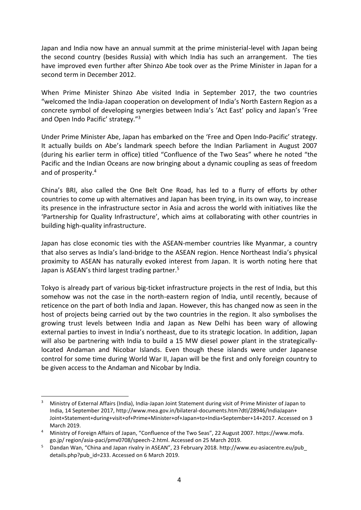Japan and India now have an annual summit at the prime ministerial-level with Japan being the second country (besides Russia) with which India has such an arrangement. The ties have improved even further after Shinzo Abe took over as the Prime Minister in Japan for a second term in December 2012.

When Prime Minister Shinzo Abe visited India in September 2017, the two countries "welcomed the India-Japan cooperation on development of India's North Eastern Region as a concrete symbol of developing synergies between India's 'Act East' policy and Japan's 'Free and Open Indo Pacific' strategy."<sup>3</sup>

Under Prime Minister Abe, Japan has embarked on the 'Free and Open Indo-Pacific' strategy. It actually builds on Abe's landmark speech before the Indian Parliament in August 2007 (during his earlier term in office) titled "Confluence of the Two Seas" where he noted "the Pacific and the Indian Oceans are now bringing about a dynamic coupling as seas of freedom and of prosperity.<sup>4</sup>

China's BRI, also called the One Belt One Road, has led to a flurry of efforts by other countries to come up with alternatives and Japan has been trying, in its own way, to increase its presence in the infrastructure sector in Asia and across the world with initiatives like the 'Partnership for Quality Infrastructure', which aims at collaborating with other countries in building high-quality infrastructure.

Japan has close economic ties with the ASEAN-member countries like Myanmar, a country that also serves as India's land-bridge to the ASEAN region. Hence Northeast India's physical proximity to ASEAN has naturally evoked interest from Japan. It is worth noting here that Japan is ASEAN's third largest trading partner.<sup>5</sup>

Tokyo is already part of various big-ticket infrastructure projects in the rest of India, but this somehow was not the case in the north-eastern region of India, until recently, because of reticence on the part of both India and Japan. However, this has changed now as seen in the host of projects being carried out by the two countries in the region. It also symbolises the growing trust levels between India and Japan as New Delhi has been wary of allowing external parties to invest in India's northeast, due to its strategic location. In addition, Japan will also be partnering with India to build a 15 MW diesel power plant in the strategicallylocated Andaman and Nicobar Islands. Even though these islands were under Japanese control for some time during World War II, Japan will be the first and only foreign country to be given access to the Andaman and Nicobar by India.

 $\overline{\phantom{a}}$ 

<sup>3</sup> Ministry of External Affairs (India), India-Japan Joint Statement during visit of Prime Minister of Japan to India, 14 September 2017[, http://www.mea.gov.in/bilateral-documents.htm?dtl/28946/IndiaJapan+](http://www.mea.gov.in/bilateral-documents.htm?dtl/28946/IndiaJapan+%20Joint+Statement+during+visit+of+Prime+Minister+of+Japan+to+India+September+14+2017)  [Joint+Statement+during+visit+of+Prime+Minister+of+Japan+to+India+September+14+2017.](http://www.mea.gov.in/bilateral-documents.htm?dtl/28946/IndiaJapan+%20Joint+Statement+during+visit+of+Prime+Minister+of+Japan+to+India+September+14+2017) Accessed on 3 March 2019.

<sup>4</sup> Ministry of Foreign Affairs of Japan, "Confluence of the Two Seas", 22 August 2007. https://www.mofa. go.jp/ region/asia-paci/pmv0708/speech-2.html. Accessed on 25 March 2019.

<sup>5</sup> Dandan Wan, "China and Japan rivalry in ASEAN", 23 February 2018. [http://www.eu-asiacentre.eu/pub\\_](http://www.eu-asiacentre.eu/pub_%20details.php?pub_id=233)  [details.php?pub\\_id=233.](http://www.eu-asiacentre.eu/pub_%20details.php?pub_id=233) Accessed on 6 March 2019.